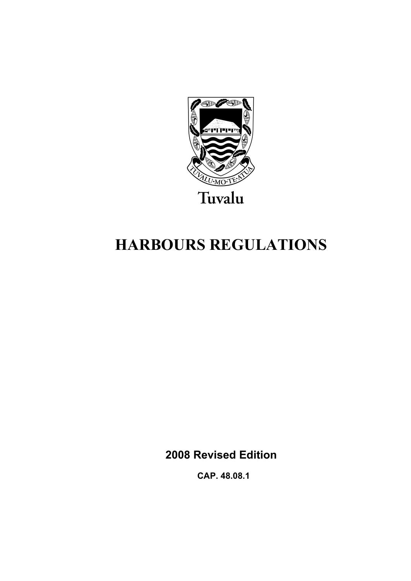

# **HARBOURS REGULATIONS**

**2008 Revised Edition** 

 **CAP. 48.08.1**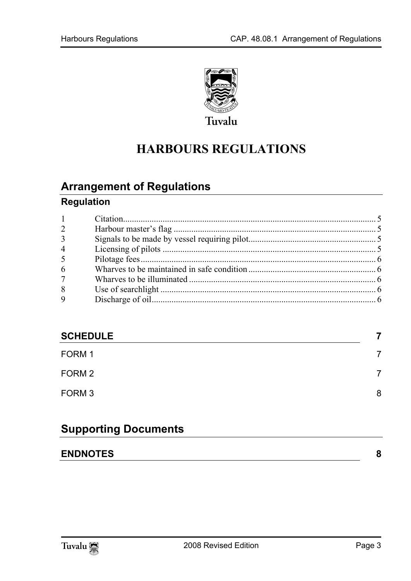

# **HARBOURS REGULATIONS**

## **Arrange[ment of Regulations](#page-4-1)**

### **Regulation**

| $1 -$          |  |
|----------------|--|
| $\overline{2}$ |  |
| $\overline{3}$ |  |
| $\overline{4}$ |  |
| 5              |  |
| 6              |  |
| 7 <sup>7</sup> |  |
| 8              |  |
| 9              |  |
|                |  |

#### **SCHEDUL[E 7](#page-7-0)**

| FORM 1 | 7 |
|--------|---|
| FORM 2 | 7 |
| FORM 3 | 8 |

### **Supporting Documents**

| <b>ENDNOTES</b> |  |
|-----------------|--|
|                 |  |
|                 |  |

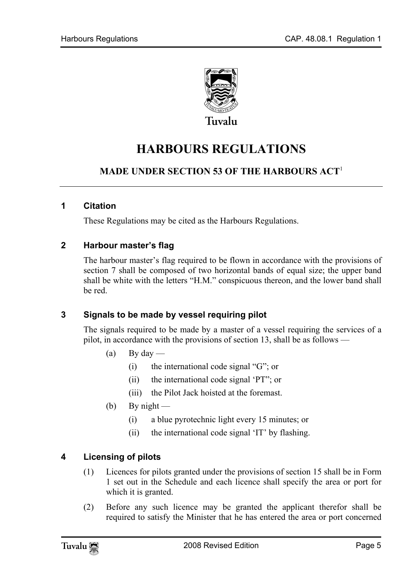

## **HARBOURS REGULATIONS**

#### <span id="page-4-0"></span>**MADE UNDER SECTION 53 OF THE HARBOURS ACT**<sup>1</sup>

#### **1 Citation**

These Regulations may be cited as the Harbours Regulations.

#### **2 Harbour master's flag**

<span id="page-4-1"></span>The harbour master's flag required to be flown in accordance with the provisions of section 7 shall be composed of two horizontal bands of equal size; the upper band shall be white with the letters "H.M." conspicuous thereon, and the lower band shall be red.

#### **3 Signals to be made by vessel requiring pilot**

The signals required to be made by a master of a vessel requiring the services of a pilot, in accordance with the provisions of section 13, shall be as follows —

- (a) By day
	- (i) the international code signal "G"; or
	- (ii) the international code signal 'PT"; or
	- (iii) the Pilot Jack hoisted at the foremast.
- <span id="page-4-2"></span>(b) By night —
	- (i) a blue pyrotechnic light every 15 minutes; or
	- (ii) the international code signal 'IT' by flashing.

#### **4 Licensing of pilots**

- (1) Licences for pilots granted under the provisions of section 15 shall be in Form 1 set out in the Schedule and each licence shall specify the area or port for which it is granted.
- (2) Before any such licence may be granted the applicant therefor shall be required to satisfy the Minister that he has entered the area or port concerned

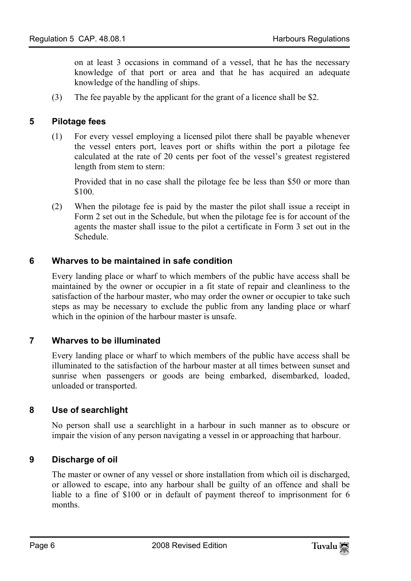<span id="page-5-0"></span>on at least 3 occasions in command of a vessel, that he has the necessary knowledge of that port or area and that he has acquired an adequate knowledge of the handling of ships.

(3) The fee payable by the applicant for the grant of a licence shall be \$2.

#### **5 Pilotage fees**

(1) For every vessel employing a licensed pilot there shall be payable whenever the vessel enters port, leaves port or shifts within the port a pilotage fee calculated at the rate of 20 cents per foot of the vessel's greatest registered length from stem to stern:

<span id="page-5-1"></span>Provided that in no case shall the pilotage fee be less than \$50 or more than \$100.

(2) When the pilotage fee is paid by the master the pilot shall issue a receipt in Form 2 set out in the Schedule, but when the pilotage fee is for account of the agents the master shall issue to the pilot a certificate in Form 3 set out in the Schedule.

#### **6 Wharves to be maintained in safe condition**

<span id="page-5-2"></span>Every landing place or wharf to which members of the public have access shall be maintained by the owner or occupier in a fit state of repair and cleanliness to the satisfaction of the harbour master, who may order the owner or occupier to take such steps as may be necessary to exclude the public from any landing place or wharf which in the opinion of the harbour master is unsafe.

#### **7 Wharves to be illuminated**

<span id="page-5-3"></span>Every landing place or wharf to which members of the public have access shall be illuminated to the satisfaction of the harbour master at all times between sunset and sunrise when passengers or goods are being embarked, disembarked, loaded, unloaded or transported.

#### **8 Use of searchlight**

<span id="page-5-4"></span>No person shall use a searchlight in a harbour in such manner as to obscure or impair the vision of any person navigating a vessel in or approaching that harbour.

#### **9 Discharge of oil**

The master or owner of any vessel or shore installation from which oil is discharged, or allowed to escape, into any harbour shall be guilty of an offence and shall be liable to a fine of \$100 or in default of payment thereof to imprisonment for 6 months.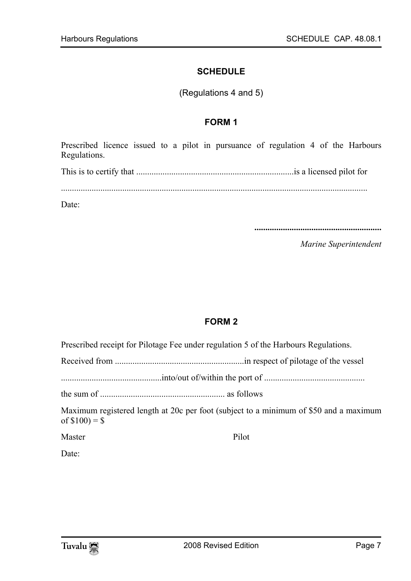#### <span id="page-6-1"></span><span id="page-6-0"></span>**SCHEDULE**

(Regulations 4 and 5)

#### **FORM 1**

Prescribed licence issued to a pilot in pursuance of regulation 4 of the Harbours Regulations.

This is to certify that ........................................................................is a licensed pilot for

Date:

**..........................................................** 

*Marine Superintendent* 

#### **FORM 2**

Prescribed receipt for Pilotage Fee under regulation 5 of the Harbours Regulations.

Received from ...........................................................in respect of pilotage of the vessel

..............................................into/out of/within the port of ..............................................

the sum of ......................................................... as follows

Maximum registered length at 20c per foot (subject to a minimum of \$50 and a maximum of  $$100$ ) = \$

Master Pilot

Date: